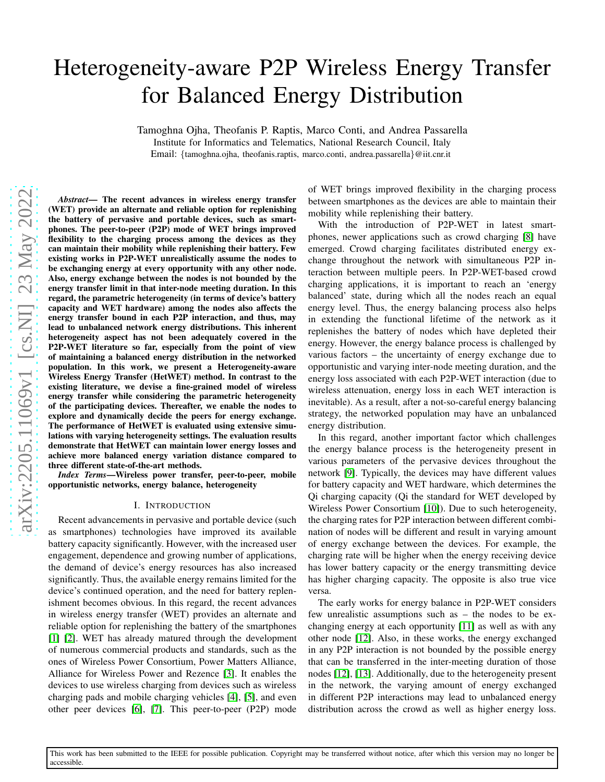# Heterogeneity-aware P2P Wireless Energy Transfer for Balanced Energy Distribution

Tamoghna Ojha, Theofanis P. Raptis, Marco Conti, and Andrea Passarella Institute for Informatics and Telematics, National Research Council, Italy Email: {tamoghna.ojha, theofanis.raptis, marco.conti, andrea.passarella}@iit.cnr.it

*Abstract*— The recent advances in wireless energy transfer (WET) provide an alternate and reliable option for replenishing the battery of pervasive and portable devices, such as smart phones. The peer-to-peer (P2P) mode of WET brings improved flexibility to the charging process among the devices as they can maintain their mobility while replenishing their battery. Few existing works in P2P-WET unrealistically assume the nodes to be exchanging energy at every opportunity with any other node. Also, energy exchange between the nodes is not bounded by the energy transfer limit in that inter-node meeting duration. In this regard, the parametric heterogeneity (in terms of device's battery capacity and WET hardware) among the nodes also affects the energy transfer bound in each P2P interaction, and thus, may lead to unbalanced network energy distributions. This inherent heterogeneity aspect has not been adequately covered in the P2P-WET literature so far, especially from the point of view of maintaining a balanced energy distribution in the networked population. In this work, we present a Heterogeneity-aware Wireless Energy Transfer (HetWET) method. In contrast to th e existing literature, we devise a fine-grained model of wireless energy transfer while considering the parametric heterogeneity of the participating devices. Thereafter, we enable the nodes to explore and dynamically decide the peers for energy exchange. The performance of HetWET is evaluated using extensive simu lations with varying heterogeneity settings. The evaluation results demonstrate that HetWET can maintain lower energy losses an d achieve more balanced energy variation distance compared t o three different state-of-the-art methods.

*Index Terms*—Wireless power transfer, peer-to-peer, mobile opportunistic networks, energy balance, heterogeneity

#### I. INTRODUCTION

Recent advancements in pervasive and portable device (such as smartphones) technologies have improved its available battery capacity significantly. However, with the increased user engagement, dependence and growing number of applications , the demand of device's energy resources has also increased significantly. Thus, the available energy remains limited for the device's continued operation, and the need for battery replenishment becomes obvious. In this regard, the recent advances in wireless energy transfer (WET) provides an alternate and reliable option for replenishing the battery of the smartphones [\[1\]](#page-5-0) [\[2\]](#page-5-1). WET has already matured through the development of numerous commercial products and standards, such as the ones of Wireless Power Consortium, Power Matters Alliance, Alliance for Wireless Power and Rezence [\[3\]](#page-5-2). It enables the devices to use wireless charging from devices such as wireless charging pads and mobile charging vehicles [\[4\]](#page-5-3), [\[5\]](#page-5-4), and eve n other peer devices [\[6\]](#page-5-5), [\[7\]](#page-5-6). This peer-to-peer (P2P) mode

of WET brings improved flexibility in the charging process between smartphones as the devices are able to maintain their mobility while replenishing their battery.

With the introduction of P2P-WET in latest smartphones, newer applications such as crowd charging [\[8\]](#page-5-7) have emerged. Crowd charging facilitates distributed energy ex change throughout the network with simultaneous P2P interaction between multiple peers. In P2P-WET-based crowd charging applications, it is important to reach an 'energy balanced' state, during which all the nodes reach an equal energy level. Thus, the energy balancing process also helps in extending the functional lifetime of the network as it replenishes the battery of nodes which have depleted their energy. However, the energy balance process is challenged b y various factors – the uncertainty of energy exchange due to opportunistic and varying inter-node meeting duration, and the energy loss associated with each P2P-WET interaction (due to wireless attenuation, energy loss in each WET interaction i s inevitable). As a result, after a not-so-careful energy balancing strategy, the networked population may have an unbalanced energy distribution.

In this regard, another important factor which challenges the energy balance process is the heterogeneity present in various parameters of the pervasive devices throughout the network [\[9\]](#page-5-8). Typically, the devices may have different values for battery capacity and WET hardware, which determines the Qi charging capacity (Qi the standard for WET developed by Wireless Power Consortium [\[10\]](#page-5-9)). Due to such heterogeneity , the charging rates for P2P interaction between different combination of nodes will be different and result in varying amount of energy exchange between the devices. For example, the charging rate will be higher when the energy receiving devic e has lower battery capacity or the energy transmitting device has higher charging capacity. The opposite is also true vice versa.

The early works for energy balance in P2P-WET considers few unrealistic assumptions such as – the nodes to be exchanging energy at each opportunity [\[11\]](#page-5-10) as well as with any other node [\[12\]](#page-5-11). Also, in these works, the energy exchanged in any P2P interaction is not bounded by the possible energy that can be transferred in the inter-meeting duration of those nodes [\[12\]](#page-5-11), [\[13\]](#page-5-12). Additionally, due to the heterogeneity present in the network, the varying amount of energy exchanged in different P2P interactions may lead to unbalanced energy distribution across the crowd as well as higher energy loss.

This work has been submitted to the IEEE for possible publication. Copyright may be transferred without notice, after which this version may no longer be accessible.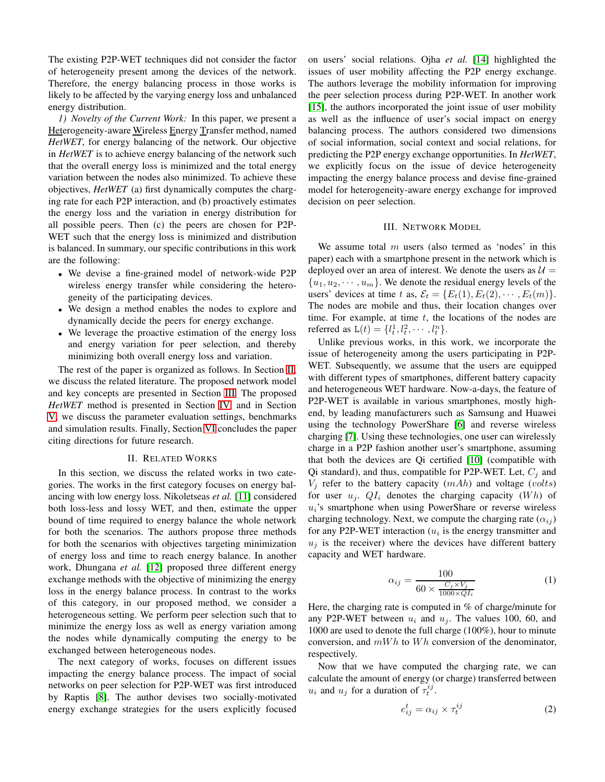The existing P2P-WET techniques did not consider the factor of heterogeneity present among the devices of the network. Therefore, the energy balancing process in those works is likely to be affected by the varying energy loss and unbalanced energy distribution.

*1) Novelty of the Current Work:* In this paper, we present a Heterogeneity-aware Wireless Energy Transfer method, named *HetWET*, for energy balancing of the network. Our objective in *HetWET* is to achieve energy balancing of the network such that the overall energy loss is minimized and the total energy variation between the nodes also minimized. To achieve these objectives, *HetWET* (a) first dynamically computes the charging rate for each P2P interaction, and (b) proactively estimates the energy loss and the variation in energy distribution for all possible peers. Then (c) the peers are chosen for P2P-WET such that the energy loss is minimized and distribution is balanced. In summary, our specific contributions in this work are the following:

- We devise a fine-grained model of network-wide P2P wireless energy transfer while considering the heterogeneity of the participating devices.
- We design a method enables the nodes to explore and dynamically decide the peers for energy exchange.
- We leverage the proactive estimation of the energy loss and energy variation for peer selection, and thereby minimizing both overall energy loss and variation.

The rest of the paper is organized as follows. In Section [II,](#page-1-0) we discuss the related literature. The proposed network model and key concepts are presented in Section [III.](#page-1-1) The proposed *HetWET* method is presented in Section [IV,](#page-2-0) and in Section [V,](#page-3-0) we discuss the parameter evaluation settings, benchmarks and simulation results. Finally, Section [VI](#page-4-0) concludes the paper citing directions for future research.

#### II. RELATED WORKS

<span id="page-1-0"></span>In this section, we discuss the related works in two categories. The works in the first category focuses on energy balancing with low energy loss. Nikoletseas *et al.* [\[11\]](#page-5-10) considered both loss-less and lossy WET, and then, estimate the upper bound of time required to energy balance the whole network for both the scenarios. The authors propose three methods for both the scenarios with objectives targeting minimization of energy loss and time to reach energy balance. In another work, Dhungana *et al.* [\[12\]](#page-5-11) proposed three different energy exchange methods with the objective of minimizing the energy loss in the energy balance process. In contrast to the works of this category, in our proposed method, we consider a heterogeneous setting. We perform peer selection such that to minimize the energy loss as well as energy variation among the nodes while dynamically computing the energy to be exchanged between heterogeneous nodes.

The next category of works, focuses on different issues impacting the energy balance process. The impact of social networks on peer selection for P2P-WET was first introduced by Raptis [\[8\]](#page-5-7). The author devises two socially-motivated energy exchange strategies for the users explicitly focused on users' social relations. Ojha *et al.* [\[14\]](#page-5-13) highlighted the issues of user mobility affecting the P2P energy exchange. The authors leverage the mobility information for improving the peer selection process during P2P-WET. In another work [\[15\]](#page-5-14), the authors incorporated the joint issue of user mobility as well as the influence of user's social impact on energy balancing process. The authors considered two dimensions of social information, social context and social relations, for predicting the P2P energy exchange opportunities. In *HetWET*, we explicitly focus on the issue of device heterogeneity impacting the energy balance process and devise fine-grained model for heterogeneity-aware energy exchange for improved decision on peer selection.

### III. NETWORK MODEL

<span id="page-1-1"></span>We assume total  $m$  users (also termed as 'nodes' in this paper) each with a smartphone present in the network which is deployed over an area of interest. We denote the users as  $U =$  $\{u_1, u_2, \dots, u_m\}$ . We denote the residual energy levels of the users' devices at time t as,  $\mathcal{E}_t = \{E_t(1), E_t(2), \cdots, E_t(m)\}.$ The nodes are mobile and thus, their location changes over time. For example, at time  $t$ , the locations of the nodes are referred as  $L(t) = \{l_t^1, l_t^2, \cdots, l_t^n\}.$ 

Unlike previous works, in this work, we incorporate the issue of heterogeneity among the users participating in P2P-WET. Subsequently, we assume that the users are equipped with different types of smartphones, different battery capacity and heterogeneous WET hardware. Now-a-days, the feature of P2P-WET is available in various smartphones, mostly highend, by leading manufacturers such as Samsung and Huawei using the technology PowerShare [\[6\]](#page-5-5) and reverse wireless charging [\[7\]](#page-5-6). Using these technologies, one user can wirelessly charge in a P2P fashion another user's smartphone, assuming that both the devices are Qi certified [\[10\]](#page-5-9) (compatible with Qi standard), and thus, compatible for P2P-WET. Let,  $C_j$  and  $V_i$  refer to the battery capacity  $(mAh)$  and voltage (volts) for user  $u_i$ .  $Q_i$  denotes the charging capacity (Wh) of  $u_i$ 's smartphone when using PowerShare or reverse wireless charging technology. Next, we compute the charging rate  $(\alpha_{ij})$ for any P2P-WET interaction  $(u_i)$  is the energy transmitter and  $u_j$  is the receiver) where the devices have different battery capacity and WET hardware.

<span id="page-1-2"></span>
$$
\alpha_{ij} = \frac{100}{60 \times \frac{C_j \times V_j}{1000 \times QI_i}}
$$
\n<sup>(1)</sup>

Here, the charging rate is computed in % of charge/minute for any P2P-WET between  $u_i$  and  $u_j$ . The values 100, 60, and 1000 are used to denote the full charge (100%), hour to minute conversion, and  $mWh$  to  $Wh$  conversion of the denominator, respectively.

Now that we have computed the charging rate, we can calculate the amount of energy (or charge) transferred between  $u_i$  and  $u_j$  for a duration of  $\tau_t^{ij}$ .

<span id="page-1-3"></span>
$$
e_{ij}^t = \alpha_{ij} \times \tau_t^{ij} \tag{2}
$$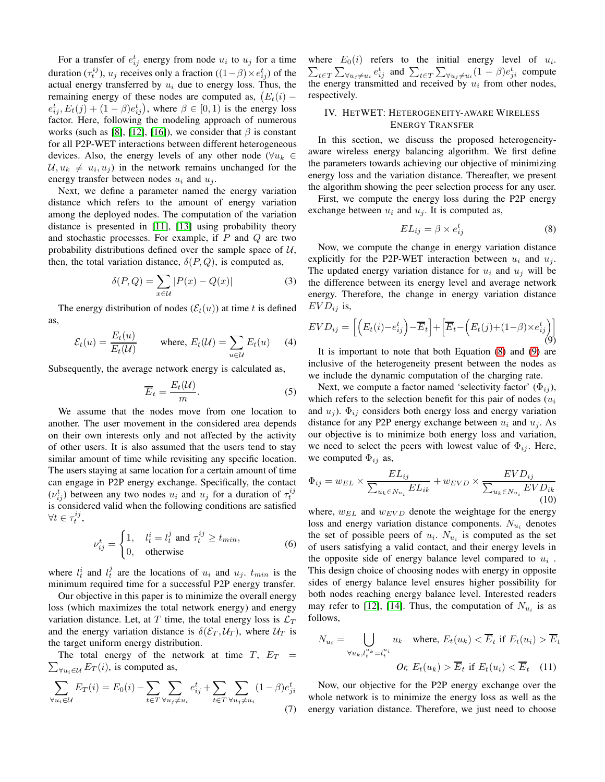For a transfer of  $e_{ij}^t$  energy from node  $u_i$  to  $u_j$  for a time duration  $(\tau_t^{ij})$ ,  $u_j$  receives only a fraction  $((1 - \beta) \times e_{ij}^t)$  of the actual energy transferred by  $u_i$  due to energy loss. Thus, the remaining energy of these nodes are computed as,  $(E_t(i)$  $e_{ij}^t, E_t(j) + (1 - \beta)e_{ij}^t$ , where  $\beta \in [0, 1)$  is the energy loss factor. Here, following the modeling approach of numerous works (such as [\[8\]](#page-5-7), [\[12\]](#page-5-11), [\[16\]](#page-5-15)), we consider that  $\beta$  is constant for all P2P-WET interactions between different heterogeneous devices. Also, the energy levels of any other node ( $\forall u_k \in$  $\mathcal{U}, u_k \neq u_i, u_j$  in the network remains unchanged for the energy transfer between nodes  $u_i$  and  $u_j$ .

Next, we define a parameter named the energy variation distance which refers to the amount of energy variation among the deployed nodes. The computation of the variation distance is presented in [\[11\]](#page-5-10), [\[13\]](#page-5-12) using probability theory and stochastic processes. For example, if  $P$  and  $Q$  are two probability distributions defined over the sample space of  $U$ , then, the total variation distance,  $\delta(P, Q)$ , is computed as,

$$
\delta(P,Q) = \sum_{x \in \mathcal{U}} |P(x) - Q(x)| \tag{3}
$$

The energy distribution of nodes  $(\mathcal{E}_t(u))$  at time t is defined as,

$$
\mathcal{E}_t(u) = \frac{E_t(u)}{E_t(\mathcal{U})} \qquad \text{where, } E_t(\mathcal{U}) = \sum_{u \in \mathcal{U}} E_t(u) \qquad (4)
$$

Subsequently, the average network energy is calculated as,

$$
\overline{E}_t = \frac{E_t(\mathcal{U})}{m}.
$$
\n(5)

We assume that the nodes move from one location to another. The user movement in the considered area depends on their own interests only and not affected by the activity of other users. It is also assumed that the users tend to stay similar amount of time while revisiting any specific location. The users staying at same location for a certain amount of time can engage in P2P energy exchange. Specifically, the contact  $(v_{ij}^t)$  between any two nodes  $u_i$  and  $u_j$  for a duration of  $\tau_i^{ij}$ is considered valid when the following conditions are satisfied  $\forall t \in \tau_t^{ij}$ ,

$$
\nu_{ij}^t = \begin{cases} 1, & l_t^i = l_t^j \text{ and } \tau_t^{ij} \ge t_{min}, \\ 0, & \text{otherwise} \end{cases}
$$
 (6)

where  $l_t^i$  and  $l_t^j$  are the locations of  $u_i$  and  $u_j$ .  $t_{min}$  is the minimum required time for a successful P2P energy transfer.

Our objective in this paper is to minimize the overall energy loss (which maximizes the total network energy) and energy variation distance. Let, at T time, the total energy loss is  $\mathcal{L}_T$ and the energy variation distance is  $\delta(\mathcal{E}_T, \mathcal{U}_T)$ , where  $\mathcal{U}_T$  is the target uniform energy distribution.

 $\sum_{\forall u_i \in \mathcal{U}} E_T(i)$ , is computed as, The total energy of the network at time  $T$ ,  $E_T$  =

$$
\sum_{\forall u_i \in \mathcal{U}} E_T(i) = E_0(i) - \sum_{t \in T} \sum_{\forall u_j \neq u_i} e_{ij}^t + \sum_{t \in T} \sum_{\forall u_j \neq u_i} (1 - \beta) e_{ji}^t
$$
\n(7)

where  $E_0(i)$  refers to the initial energy level of  $u_i$ . where  $E_0(i)$  refers to the initial energy level of  $u_i$ .<br>  $\sum_{t \in T} \sum_{\forall u_j \neq u_i} e_{ij}^t$  and  $\sum_{t \in T} \sum_{\forall u_j \neq u_i} (1 - \beta) e_{ji}^t$  compute the energy transmitted and received by  $u_i$  from other nodes, respectively.

## <span id="page-2-0"></span>IV. HETWET: HETEROGENEITY-AWARE WIRELESS ENERGY TRANSFER

In this section, we discuss the proposed heterogeneityaware wireless energy balancing algorithm. We first define the parameters towards achieving our objective of minimizing energy loss and the variation distance. Thereafter, we present the algorithm showing the peer selection process for any user.

First, we compute the energy loss during the P2P energy exchange between  $u_i$  and  $u_j$ . It is computed as,

<span id="page-2-1"></span>
$$
EL_{ij} = \beta \times e_{ij}^t \tag{8}
$$

Now, we compute the change in energy variation distance explicitly for the P2P-WET interaction between  $u_i$  and  $u_j$ . The updated energy variation distance for  $u_i$  and  $u_j$  will be the difference between its energy level and average network energy. Therefore, the change in energy variation distance  $EVD_{ij}$  is,

<span id="page-2-2"></span>
$$
EVD_{ij} = \left[ \left( E_t(i) - e_{ij}^t \right) - \overline{E}_t \right] + \left[ \overline{E}_t - \left( E_t(j) + (1 - \beta) \times e_{ij}^t \right) \right] \tag{9}
$$

It is important to note that both Equation [\(8\)](#page-2-1) and [\(9\)](#page-2-2) are inclusive of the heterogeneity present between the nodes as we include the dynamic computation of the charging rate.

Next, we compute a factor named 'selectivity factor'  $(\Phi_{ij})$ , which refers to the selection benefit for this pair of nodes  $(u_i)$ and  $u_i$ ).  $\Phi_{ij}$  considers both energy loss and energy variation distance for any P2P energy exchange between  $u_i$  and  $u_j$ . As our objective is to minimize both energy loss and variation, we need to select the peers with lowest value of  $\Phi_{ij}$ . Here, we computed  $\Phi_{ij}$  as,

<span id="page-2-3"></span>
$$
\Phi_{ij} = w_{EL} \times \frac{EL_{ij}}{\sum_{u_k \in N_{u_i}} EL_{ik}} + w_{EVD} \times \frac{EVD_{ij}}{\sum_{u_k \in N_{u_i}} EVD_{ik}}
$$
\n(10)

where,  $w_{EL}$  and  $w_{EVD}$  denote the weightage for the energy loss and energy variation distance components.  $N_{u_i}$  denotes the set of possible peers of  $u_i$ .  $N_{u_i}$  is computed as the set of users satisfying a valid contact, and their energy levels in the opposite side of energy balance level compared to  $u_i$ . This design choice of choosing nodes with energy in opposite sides of energy balance level ensures higher possibility for both nodes reaching energy balance level. Interested readers may refer to [\[12\]](#page-5-11), [\[14\]](#page-5-13). Thus, the computation of  $N_{u_i}$  is as follows,

$$
N_{u_i} = \bigcup_{\forall u_k, l_t^{u_k} = l_t^{u_i}} u_k \quad \text{where, } E_t(u_k) < \overline{E}_t \text{ if } E_t(u_i) > \overline{E}_t
$$
\n
$$
Or, E_t(u_k) > \overline{E}_t \text{ if } E_t(u_i) < \overline{E}_t \quad (11)
$$

Now, our objective for the P2P energy exchange over the whole network is to minimize the energy loss as well as the energy variation distance. Therefore, we just need to choose

 $\Gamma$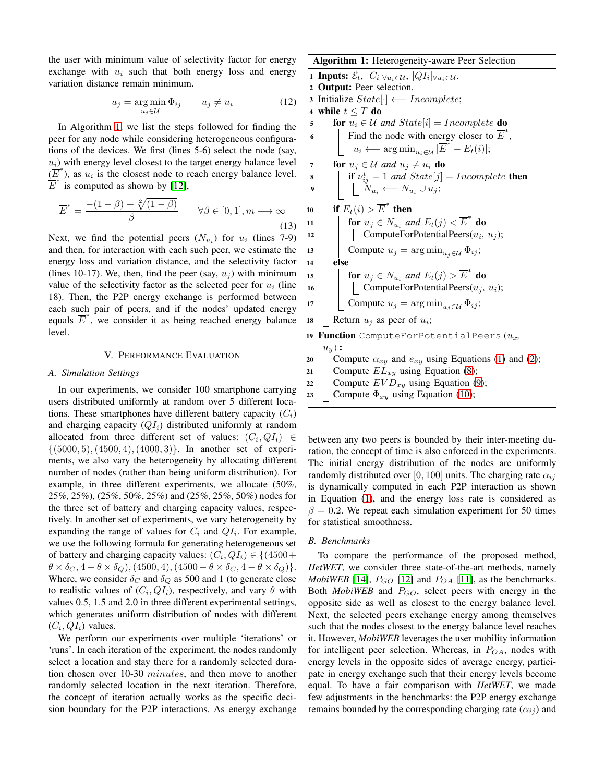the user with minimum value of selectivity factor for energy exchange with  $u_i$  such that both energy loss and energy variation distance remain minimum.

$$
u_j = \underset{u_j \in \mathcal{U}}{\arg \min} \, \Phi_{ij} \qquad u_j \neq u_i \tag{12}
$$

In Algorithm [1,](#page-3-1) we list the steps followed for finding the peer for any node while considering heterogeneous configurations of the devices. We first (lines 5-6) select the node (say,  $u_i$ ) with energy level closest to the target energy balance level  $(E^*)$ , as  $u_i$  is the closest node to reach energy balance level.  $\overline{E}^*$  is computed as shown by [\[12\]](#page-5-11),

$$
\overline{E}^* = \frac{-(1-\beta) + \sqrt[2]{(1-\beta)}}{\beta} \qquad \forall \beta \in [0,1], m \longrightarrow \infty
$$
\n(13)

Next, we find the potential peers  $(N_{u_i})$  for  $u_i$  (lines 7-9) and then, for interaction with each such peer, we estimate the energy loss and variation distance, and the selectivity factor (lines 10-17). We, then, find the peer (say,  $u_i$ ) with minimum value of the selectivity factor as the selected peer for  $u_i$  (line 18). Then, the P2P energy exchange is performed between each such pair of peers, and if the nodes' updated energy equals  $\overline{E}^*$ , we consider it as being reached energy balance level.

## V. PERFORMANCE EVALUATION

#### <span id="page-3-2"></span><span id="page-3-0"></span>*A. Simulation Settings*

In our experiments, we consider 100 smartphone carrying users distributed uniformly at random over 5 different locations. These smartphones have different battery capacity  $(C_i)$ and charging capacity  $(QI_i)$  distributed uniformly at random allocated from three different set of values:  $(C_i, QI_i) \in$  $\{(5000, 5), (4500, 4), (4000, 3)\}.$  In another set of experiments, we also vary the heterogeneity by allocating different number of nodes (rather than being uniform distribution). For example, in three different experiments, we allocate (50%, 25%, 25%), (25%, 50%, 25%) and (25%, 25%, 50%) nodes for the three set of battery and charging capacity values, respectively. In another set of experiments, we vary heterogeneity by expanding the range of values for  $C_i$  and  $QI_i$ . For example, we use the following formula for generating heterogeneous set of battery and charging capacity values:  $(C_i, QI_i) \in \{(4500 +$  $\theta \times \delta_C$ ,  $4 + \theta \times \delta_Q$ ), (4500, 4), (4500 –  $\theta \times \delta_C$ ,  $4 - \theta \times \delta_Q$ ). Where, we consider  $\delta_C$  and  $\delta_Q$  as 500 and 1 (to generate close to realistic values of  $(C_i, Q_i)$ , respectively, and vary  $\theta$  with values 0.5, 1.5 and 2.0 in three different experimental settings, which generates uniform distribution of nodes with different  $(C_i, QI_i)$  values.

We perform our experiments over multiple 'iterations' or 'runs'. In each iteration of the experiment, the nodes randomly select a location and stay there for a randomly selected duration chosen over 10-30 minutes, and then move to another randomly selected location in the next iteration. Therefore, the concept of iteration actually works as the specific decision boundary for the P2P interactions. As energy exchange

## <span id="page-3-1"></span>Algorithm 1: Heterogeneity-aware Peer Selection

1 Inputs:  $\mathcal{E}_t$ ,  $|C_i|_{\forall u_i \in \mathcal{U}}$ ,  $|QI_i|_{\forall u_i \in \mathcal{U}}$ . <sup>2</sup> Output: Peer selection. <sup>3</sup> Initialize State[·] ←− Incomplete; 4 while  $t \leq T$  do 5 **for**  $u_i \in \mathcal{U}$  and  $State[i] = Incomplete$  **do** 6 Find the node with energy closer to  $\overline{E}^*$ ,  $u_i \longleftarrow \argmin_{u_i \in \mathcal{U}} |\overline{E}^* - E_t(i)|;$ 7 **for**  $u_j \in \mathcal{U}$  and  $u_j \neq u_i$  **do if**  $v_{ij}^t = 1$  and  $State[j] = Incomplete$  then 9  $\blacksquare$   $N_{u_i} \longleftarrow N_{u_i} \cup u_j;$ 10 if  $E_t(i) > \overline{E}^*$  then 11 **for**  $u_j \in N_{u_i}$  and  $E_t(j) < \overline{E}^*$  do 12 | ComputeForPotentialPeers $(u_i, u_j)$ ; 13 Compute  $u_j = \arg \min_{u_i \in \mathcal{U}} \Phi_{ij}$ ; 14 else 15 **for**  $u_j \in N_{u_i}$  and  $E_t(j) > \overline{E}^*$  **do** 16 | | ComputeForPotentialPeers $(u_j, u_i)$ ; 17 Compute  $u_j = \arg \min_{u_j \in \mathcal{U}} \Phi_{ij}$ ; 18 Return  $u_j$  as peer of  $u_i$ ; 19 **Function** ComputeForPotentialPeers ( $u_x$ ,  $u_y$ ): 20 Compute  $\alpha_{xy}$  and  $e_{xy}$  using Equations [\(1\)](#page-1-2) and [\(2\)](#page-1-3); 21 Compute  $EL_{xy}$  using Equation [\(8\)](#page-2-1); 22 Compute  $EVD_{xy}$  using Equation [\(9\)](#page-2-2); 23 Compute  $\Phi_{xy}$  using Equation [\(10\)](#page-2-3);

between any two peers is bounded by their inter-meeting duration, the concept of time is also enforced in the experiments. The initial energy distribution of the nodes are uniformly randomly distributed over [0, 100] units. The charging rate  $\alpha_{ij}$ is dynamically computed in each P2P interaction as shown in Equation [\(1\)](#page-1-2), and the energy loss rate is considered as  $\beta = 0.2$ . We repeat each simulation experiment for 50 times for statistical smoothness.

#### *B. Benchmarks*

To compare the performance of the proposed method, *HetWET*, we consider three state-of-the-art methods, namely *MobiWEB* [\[14\]](#page-5-13),  $P_{GO}$  [\[12\]](#page-5-11) and  $P_{OA}$  [\[11\]](#page-5-10), as the benchmarks. Both *MobiWEB* and  $P_{GO}$ , select peers with energy in the opposite side as well as closest to the energy balance level. Next, the selected peers exchange energy among themselves such that the nodes closest to the energy balance level reaches it. However, *MobiWEB* leverages the user mobility information for intelligent peer selection. Whereas, in  $P_{OA}$ , nodes with energy levels in the opposite sides of average energy, participate in energy exchange such that their energy levels become equal. To have a fair comparison with *HetWET*, we made few adjustments in the benchmarks: the P2P energy exchange remains bounded by the corresponding charging rate  $(\alpha_{ij})$  and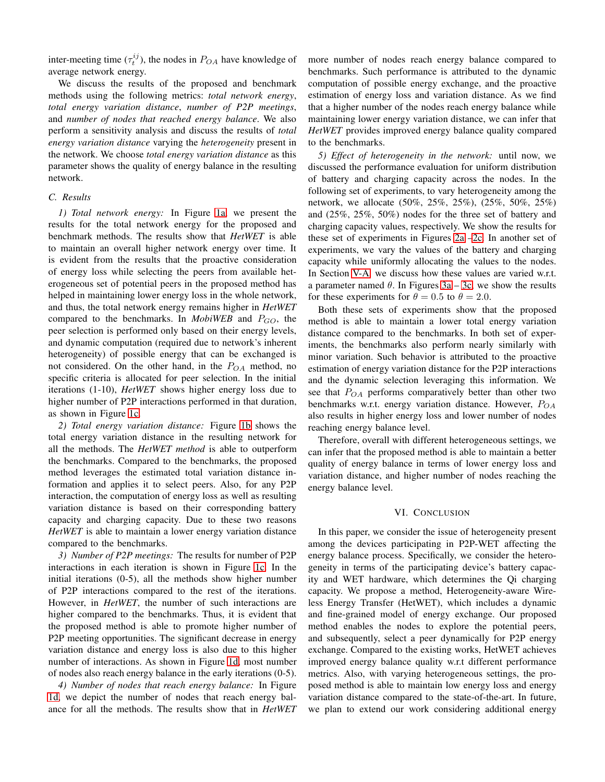inter-meeting time  $(\tau_t^{ij})$ , the nodes in  $P_{OA}$  have knowledge of average network energy.

We discuss the results of the proposed and benchmark methods using the following metrics: *total network energy*, *total energy variation distance*, *number of P2P meetings*, and *number of nodes that reached energy balance*. We also perform a sensitivity analysis and discuss the results of *total energy variation distance* varying the *heterogeneity* present in the network. We choose *total energy variation distance* as this parameter shows the quality of energy balance in the resulting network.

## *C. Results*

*1) Total network energy:* In Figure [1a,](#page-5-16) we present the results for the total network energy for the proposed and benchmark methods. The results show that *HetWET* is able to maintain an overall higher network energy over time. It is evident from the results that the proactive consideration of energy loss while selecting the peers from available heterogeneous set of potential peers in the proposed method has helped in maintaining lower energy loss in the whole network, and thus, the total network energy remains higher in *HetWET* compared to the benchmarks. In *MobiWEB* and  $P_{GO}$ , the peer selection is performed only based on their energy levels, and dynamic computation (required due to network's inherent heterogeneity) of possible energy that can be exchanged is not considered. On the other hand, in the  $P_{OA}$  method, no specific criteria is allocated for peer selection. In the initial iterations (1-10), *HetWET* shows higher energy loss due to higher number of P2P interactions performed in that duration, as shown in Figure [1c.](#page-5-16)

*2) Total energy variation distance:* Figure [1b](#page-5-16) shows the total energy variation distance in the resulting network for all the methods. The *HetWET method* is able to outperform the benchmarks. Compared to the benchmarks, the proposed method leverages the estimated total variation distance information and applies it to select peers. Also, for any P2P interaction, the computation of energy loss as well as resulting variation distance is based on their corresponding battery capacity and charging capacity. Due to these two reasons *HetWET* is able to maintain a lower energy variation distance compared to the benchmarks.

*3) Number of P2P meetings:* The results for number of P2P interactions in each iteration is shown in Figure [1c.](#page-5-16) In the initial iterations (0-5), all the methods show higher number of P2P interactions compared to the rest of the iterations. However, in *HetWET*, the number of such interactions are higher compared to the benchmarks. Thus, it is evident that the proposed method is able to promote higher number of P2P meeting opportunities. The significant decrease in energy variation distance and energy loss is also due to this higher number of interactions. As shown in Figure [1d,](#page-5-16) most number of nodes also reach energy balance in the early iterations (0-5).

*4) Number of nodes that reach energy balance:* In Figure [1d,](#page-5-16) we depict the number of nodes that reach energy balance for all the methods. The results show that in *HetWET* more number of nodes reach energy balance compared to benchmarks. Such performance is attributed to the dynamic computation of possible energy exchange, and the proactive estimation of energy loss and variation distance. As we find that a higher number of the nodes reach energy balance while maintaining lower energy variation distance, we can infer that *HetWET* provides improved energy balance quality compared to the benchmarks.

*5) Effect of heterogeneity in the network:* until now, we discussed the performance evaluation for uniform distribution of battery and charging capacity across the nodes. In the following set of experiments, to vary heterogeneity among the network, we allocate (50%, 25%, 25%), (25%, 50%, 25%) and (25%, 25%, 50%) nodes for the three set of battery and charging capacity values, respectively. We show the results for these set of experiments in Figures [2a](#page-5-17) [–2c.](#page-5-17) In another set of experiments, we vary the values of the battery and charging capacity while uniformly allocating the values to the nodes. In Section [V-A,](#page-3-2) we discuss how these values are varied w.r.t. a parameter named  $\theta$ . In Figures [3a](#page-5-18) – [3c,](#page-5-18) we show the results for these experiments for  $\theta = 0.5$  to  $\theta = 2.0$ .

Both these sets of experiments show that the proposed method is able to maintain a lower total energy variation distance compared to the benchmarks. In both set of experiments, the benchmarks also perform nearly similarly with minor variation. Such behavior is attributed to the proactive estimation of energy variation distance for the P2P interactions and the dynamic selection leveraging this information. We see that  $P_{OA}$  performs comparatively better than other two benchmarks w.r.t. energy variation distance. However,  $P_{OA}$ also results in higher energy loss and lower number of nodes reaching energy balance level.

Therefore, overall with different heterogeneous settings, we can infer that the proposed method is able to maintain a better quality of energy balance in terms of lower energy loss and variation distance, and higher number of nodes reaching the energy balance level.

### VI. CONCLUSION

<span id="page-4-0"></span>In this paper, we consider the issue of heterogeneity present among the devices participating in P2P-WET affecting the energy balance process. Specifically, we consider the heterogeneity in terms of the participating device's battery capacity and WET hardware, which determines the Qi charging capacity. We propose a method, Heterogeneity-aware Wireless Energy Transfer (HetWET), which includes a dynamic and fine-grained model of energy exchange. Our proposed method enables the nodes to explore the potential peers, and subsequently, select a peer dynamically for P2P energy exchange. Compared to the existing works, HetWET achieves improved energy balance quality w.r.t different performance metrics. Also, with varying heterogeneous settings, the proposed method is able to maintain low energy loss and energy variation distance compared to the state-of-the-art. In future, we plan to extend our work considering additional energy